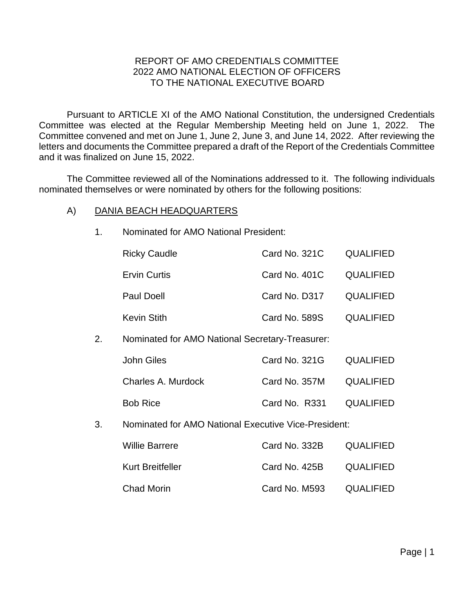# REPORT OF AMO CREDENTIALS COMMITTEE 2022 AMO NATIONAL ELECTION OF OFFICERS TO THE NATIONAL EXECUTIVE BOARD

Pursuant to ARTICLE XI of the AMO National Constitution, the undersigned Credentials Committee was elected at the Regular Membership Meeting held on June 1, 2022. The Committee convened and met on June 1, June 2, June 3, and June 14, 2022. After reviewing the letters and documents the Committee prepared a draft of the Report of the Credentials Committee and it was finalized on June 15, 2022.

The Committee reviewed all of the Nominations addressed to it. The following individuals nominated themselves or were nominated by others for the following positions:

# A) DANIA BEACH HEADQUARTERS

|    | <b>Ricky Caudle</b>                                  | Card No. 321C | <b>QUALIFIED</b> |
|----|------------------------------------------------------|---------------|------------------|
|    | <b>Ervin Curtis</b>                                  | Card No. 401C | <b>QUALIFIED</b> |
|    | <b>Paul Doell</b>                                    | Card No. D317 | <b>QUALIFIED</b> |
|    | <b>Kevin Stith</b>                                   | Card No. 589S | <b>QUALIFIED</b> |
| 2. | Nominated for AMO National Secretary-Treasurer:      |               |                  |
|    | <b>John Giles</b>                                    | Card No. 321G | <b>QUALIFIED</b> |
|    | Charles A. Murdock                                   | Card No. 357M | <b>QUALIFIED</b> |
|    | <b>Bob Rice</b>                                      | Card No. R331 | <b>QUALIFIED</b> |
| 3. | Nominated for AMO National Executive Vice-President: |               |                  |
|    | <b>Willie Barrere</b>                                | Card No. 332B | <b>QUALIFIED</b> |
|    | <b>Kurt Breitfeller</b>                              | Card No. 425B | <b>QUALIFIED</b> |
|    | <b>Chad Morin</b>                                    | Card No. M593 | <b>QUALIFIED</b> |
|    |                                                      |               |                  |

1. Nominated for AMO National President: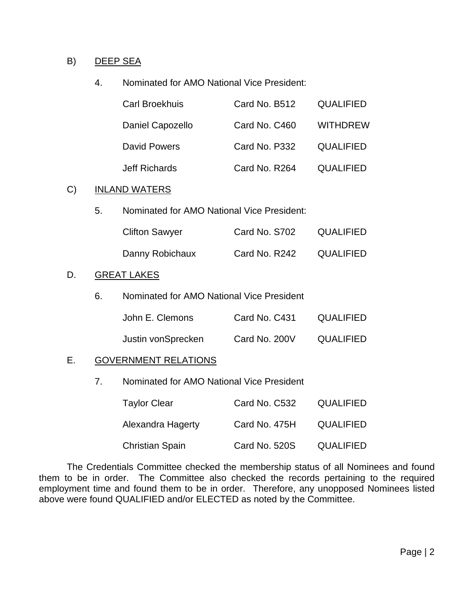## B) DEEP SEA

## 4. Nominated for AMO National Vice President:

| <b>Carl Broekhuis</b> | Card No. B512 | <b>QUALIFIED</b> |
|-----------------------|---------------|------------------|
| Daniel Capozello      | Card No. C460 | <b>WITHDREW</b>  |
| David Powers          | Card No. P332 | <b>QUALIFIED</b> |
| <b>Jeff Richards</b>  | Card No. R264 | <b>QUALIFIED</b> |

# C) INLAND WATERS

| 5. | Nominated for AMO National Vice President: |
|----|--------------------------------------------|
|----|--------------------------------------------|

| <b>Clifton Sawyer</b> | Card No. S702 | <b>QUALIFIED</b> |
|-----------------------|---------------|------------------|
| Danny Robichaux       | Card No. R242 | <b>QUALIFIED</b> |

#### D. GREAT LAKES

6. Nominated for AMO National Vice President

| John E. Clemons    | Card No. C431 | <b>QUALIFIED</b> |
|--------------------|---------------|------------------|
| Justin vonSprecken | Card No. 200V | <b>QUALIFIED</b> |

# E. GOVERNMENT RELATIONS

7. Nominated for AMO National Vice President

| <b>Taylor Clear</b>    | Card No. C532 | <b>QUALIFIED</b> |
|------------------------|---------------|------------------|
| Alexandra Hagerty      | Card No. 475H | <b>QUALIFIED</b> |
| <b>Christian Spain</b> | Card No. 520S | <b>QUALIFIED</b> |

The Credentials Committee checked the membership status of all Nominees and found them to be in order. The Committee also checked the records pertaining to the required employment time and found them to be in order. Therefore, any unopposed Nominees listed above were found QUALIFIED and/or ELECTED as noted by the Committee.